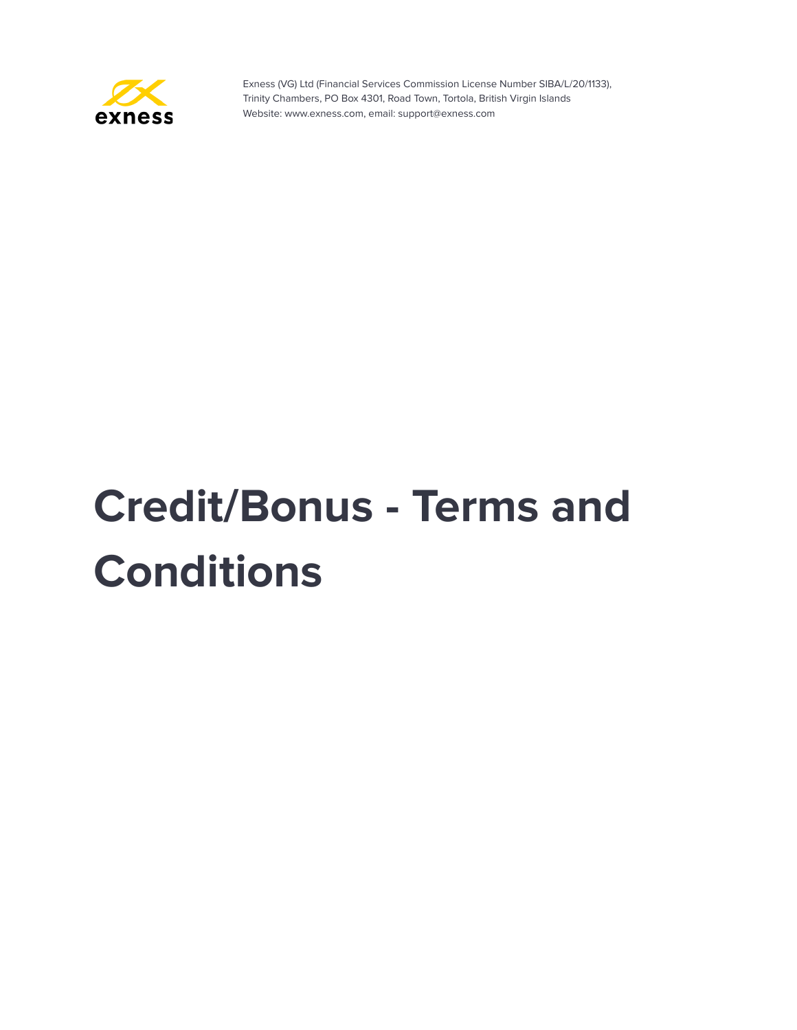

# **Credit/Bonus - Terms and Conditions**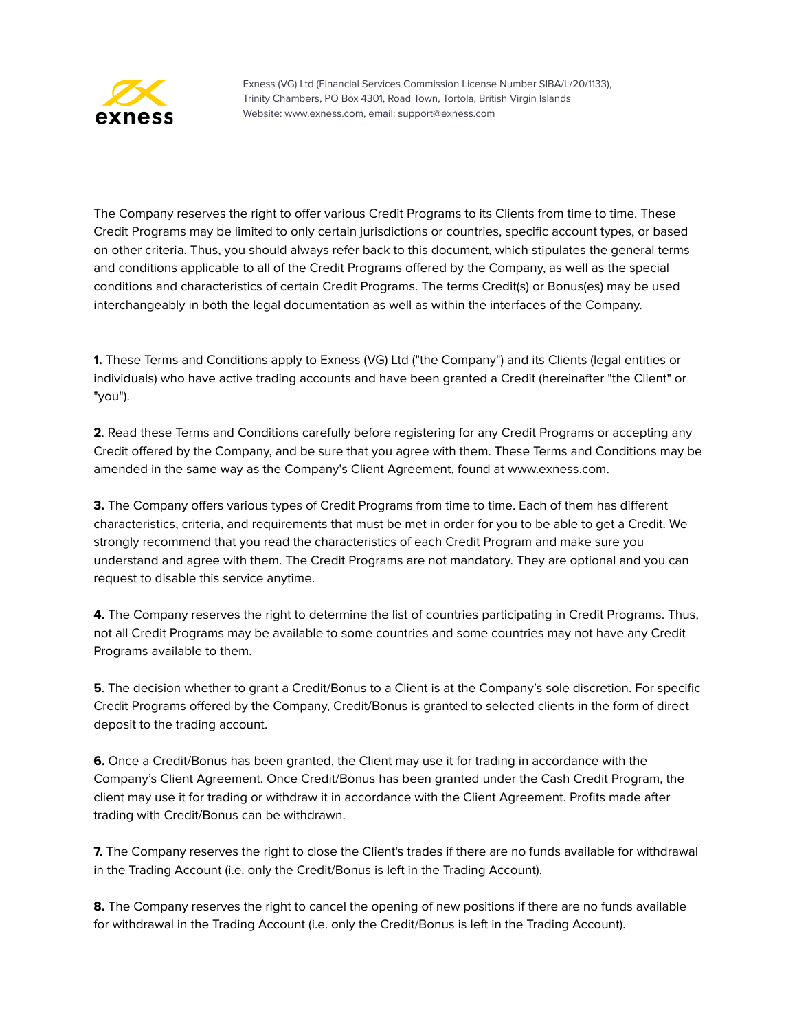

The Company reserves the right to offer various Credit Programs to its Clients from time to time. These Credit Programs may be limited to only certain jurisdictions or countries, specific account types, or based on other criteria. Thus, you should always refer back to this document, which stipulates the general terms and conditions applicable to all of the Credit Programs offered by the Company, as well as the special conditions and characteristics of certain Credit Programs. The terms Credit(s) or Bonus(es) may be used interchangeably in both the legal documentation as well as within the interfaces of the Company.

**1.** These Terms and Conditions apply to Exness (VG) Ltd ("the Company") and its Clients (legal entities or individuals) who have active trading accounts and have been granted a Credit (hereinafter "the Client" or "you").

**2**. Read these Terms and Conditions carefully before registering for any Credit Programs or accepting any Credit offered by the Company, and be sure that you agree with them. These Terms and Conditions may be amended in the same way as the Company's Client Agreement, found at www.exness.com.

**3.** The Company offers various types of Credit Programs from time to time. Each of them has different characteristics, criteria, and requirements that must be met in order for you to be able to get a Credit. We strongly recommend that you read the characteristics of each Credit Program and make sure you understand and agree with them. The Credit Programs are not mandatory. They are optional and you can request to disable this service anytime.

**4.** The Company reserves the right to determine the list of countries participating in Credit Programs. Thus, not all Credit Programs may be available to some countries and some countries may not have any Credit Programs available to them.

**5**. The decision whether to grant a Credit/Bonus to a Client is at the Company's sole discretion. For specific Credit Programs offered by the Company, Credit/Bonus is granted to selected clients in the form of direct deposit to the trading account.

**6.** Once a Credit/Bonus has been granted, the Client may use it for trading in accordance with the Company's Client Agreement. Once Credit/Bonus has been granted under the Cash Credit Program, the client may use it for trading or withdraw it in accordance with the Client Agreement. Profits made after trading with Credit/Bonus can be withdrawn.

**7.** The Company reserves the right to close the Client's trades if there are no funds available for withdrawal in the Trading Account (i.e. only the Credit/Bonus is left in the Trading Account).

**8.** The Company reserves the right to cancel the opening of new positions if there are no funds available for withdrawal in the Trading Account (i.e. only the Credit/Bonus is left in the Trading Account).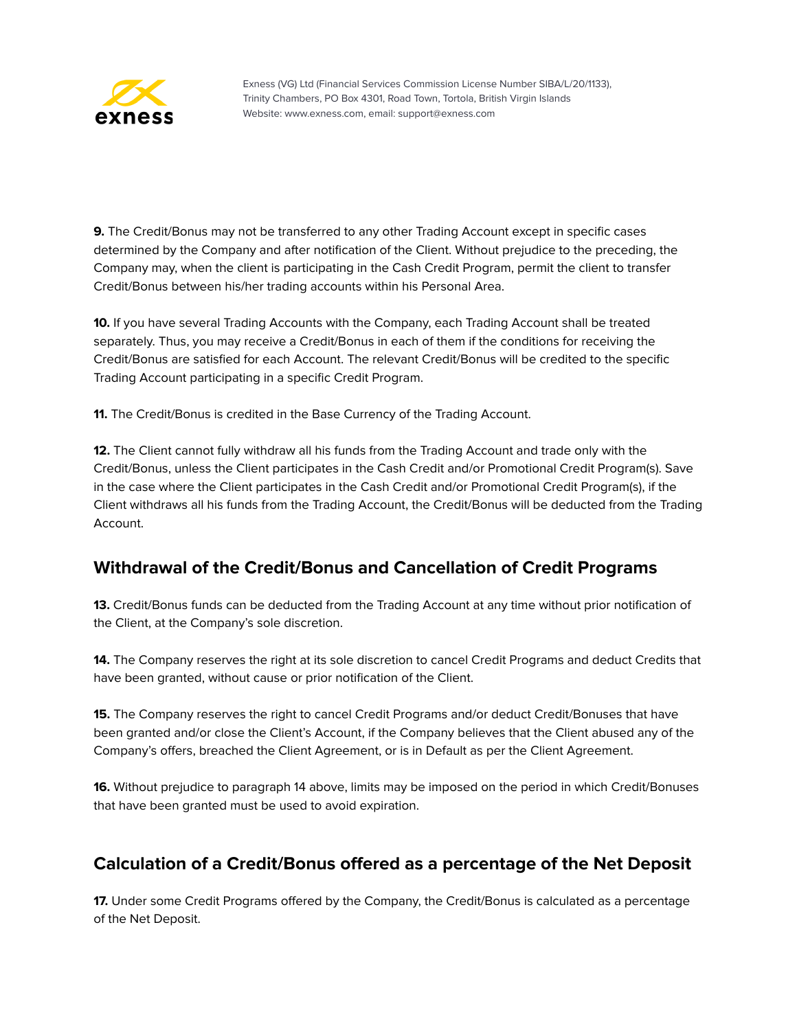

**9.** The Credit/Bonus may not be transferred to any other Trading Account except in specific cases determined by the Company and after notification of the Client. Without prejudice to the preceding, the Company may, when the client is participating in the Cash Credit Program, permit the client to transfer Credit/Bonus between his/her trading accounts within his Personal Area.

**10.** If you have several Trading Accounts with the Company, each Trading Account shall be treated separately. Thus, you may receive a Credit/Bonus in each of them if the conditions for receiving the Credit/Bonus are satisfied for each Account. The relevant Credit/Bonus will be credited to the specific Trading Account participating in a specific Credit Program.

**11.** The Credit/Bonus is credited in the Base Currency of the Trading Account.

**12.** The Client cannot fully withdraw all his funds from the Trading Account and trade only with the Credit/Bonus, unless the Client participates in the Cash Credit and/or Promotional Credit Program(s). Save in the case where the Client participates in the Cash Credit and/or Promotional Credit Program(s), if the Client withdraws all his funds from the Trading Account, the Credit/Bonus will be deducted from the Trading Account.

# **Withdrawal of the Credit/Bonus and Cancellation of Credit Programs**

**13.** Credit/Bonus funds can be deducted from the Trading Account at any time without prior notification of the Client, at the Company's sole discretion.

**14.** The Company reserves the right at its sole discretion to cancel Credit Programs and deduct Credits that have been granted, without cause or prior notification of the Client.

**15.** The Company reserves the right to cancel Credit Programs and/or deduct Credit/Bonuses that have been granted and/or close the Client's Account, if the Company believes that the Client abused any of the Company's offers, breached the Client Agreement, or is in Default as per the Client Agreement.

**16.** Without prejudice to paragraph 14 above, limits may be imposed on the period in which Credit/Bonuses that have been granted must be used to avoid expiration.

# **Calculation of a Credit/Bonus offered as a percentage of the Net Deposit**

**17.** Under some Credit Programs offered by the Company, the Credit/Bonus is calculated as a percentage of the Net Deposit.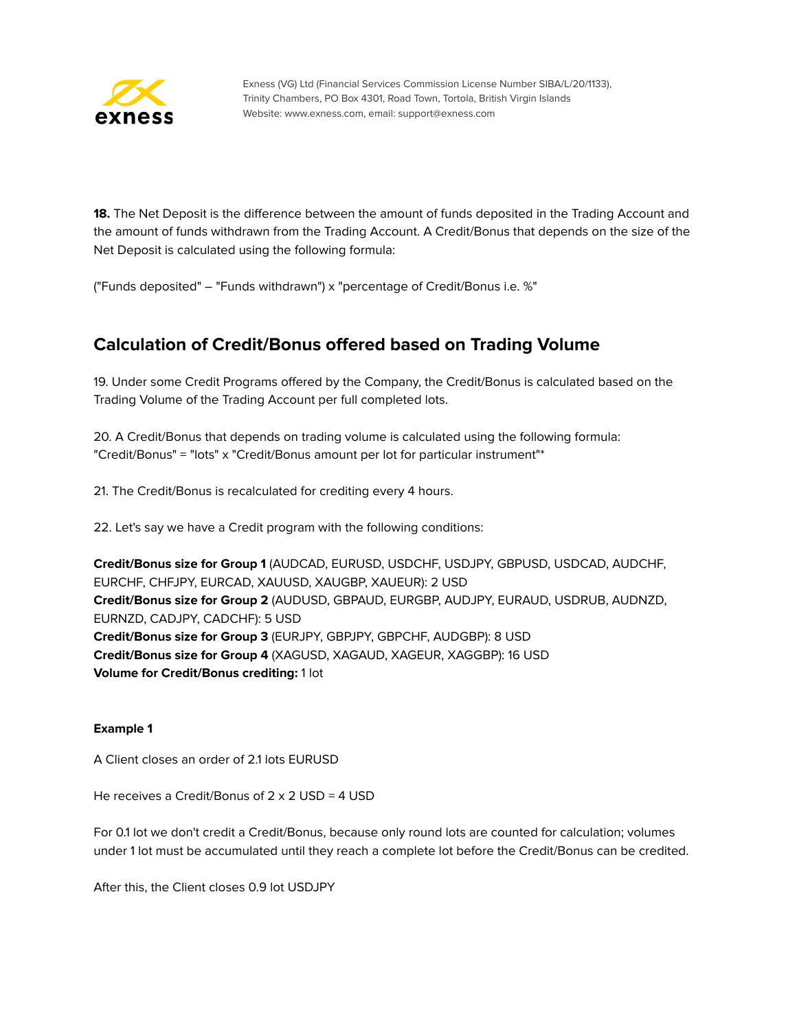

**18.** The Net Deposit is the difference between the amount of funds deposited in the Trading Account and the amount of funds withdrawn from the Trading Account. A Credit/Bonus that depends on the size of the Net Deposit is calculated using the following formula:

("Funds deposited" – "Funds withdrawn") х "percentage of Credit/Bonus i.e. %"

# **Calculation of Credit/Bonus offered based on Trading Volume**

19. Under some Credit Programs offered by the Company, the Credit/Bonus is calculated based on the Trading Volume of the Trading Account per full completed lots.

20. A Credit/Bonus that depends on trading volume is calculated using the following formula: "Credit/Bonus" = "lots" x "Credit/Bonus amount per lot for particular instrument"\*

21. The Credit/Bonus is recalculated for crediting every 4 hours.

22. Let's say we have a Credit program with the following conditions:

**Credit/Bonus size for Group 1** (AUDCAD, EURUSD, USDCHF, USDJPY, GBPUSD, USDCAD, AUDCHF, EURCHF, CHFJPY, EURCAD, XAUUSD, XAUGBP, XAUEUR): 2 USD **Credit/Bonus size for Group 2** (AUDUSD, GBPAUD, EURGBP, AUDJPY, EURAUD, USDRUB, AUDNZD, EURNZD, CADJPY, CADCHF): 5 USD **Credit/Bonus size for Group 3** (EURJPY, GBPJPY, GBPCHF, AUDGBP): 8 USD **Credit/Bonus size for Group 4** (XAGUSD, XAGAUD, XAGEUR, XAGGBP): 16 USD **Volume for Credit/Bonus crediting:** 1 lot

#### **Example 1**

A Client closes an order of 2.1 lots EURUSD

He receives a Credit/Bonus of 2 x 2 USD = 4 USD

For 0.1 lot we don't credit a Credit/Bonus, because only round lots are counted for calculation; volumes under 1 lot must be accumulated until they reach a complete lot before the Credit/Bonus can be credited.

After this, the Client closes 0.9 lot USDJPY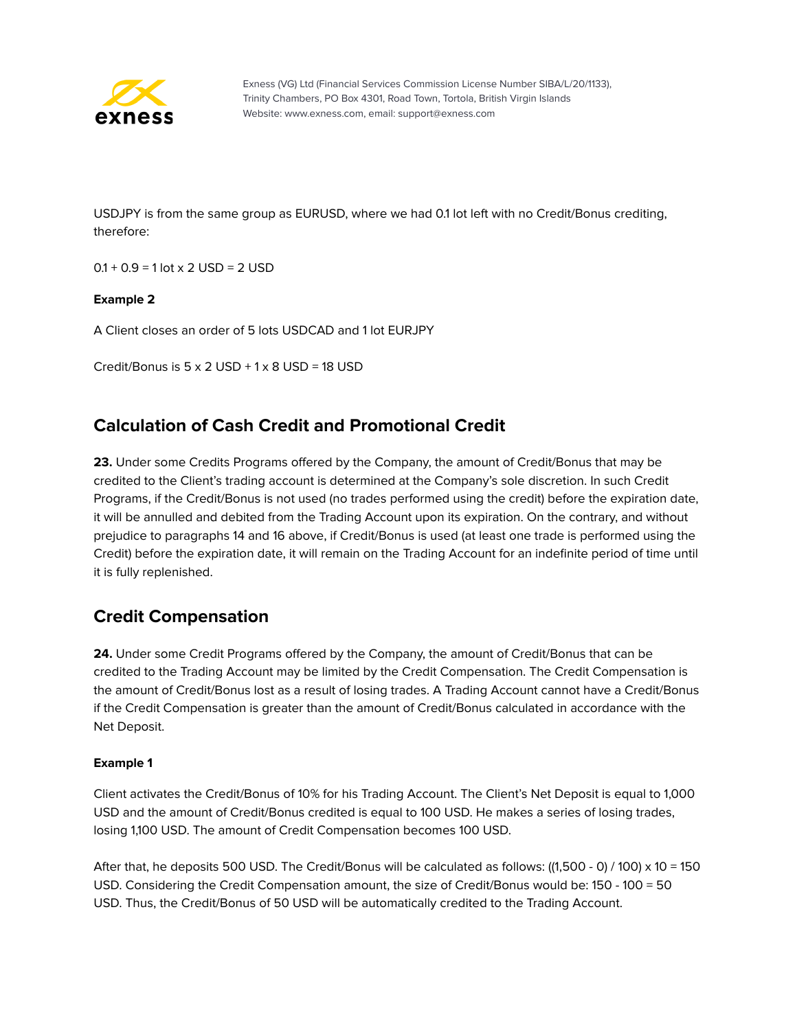

USDJPY is from the same group as EURUSD, where we had 0.1 lot left with no Credit/Bonus crediting, therefore:

 $0.1 + 0.9 = 1$  lot x 2 USD = 2 USD

#### **Example 2**

A Client closes an order of 5 lots USDCAD and 1 lot EURJPY

Credit/Bonus is  $5 \times 2$  USD +  $1 \times 8$  USD = 18 USD

# **Calculation of Cash Credit and Promotional Credit**

**23.** Under some Credits Programs offered by the Company, the amount of Credit/Bonus that may be credited to the Client's trading account is determined at the Company's sole discretion. In such Credit Programs, if the Credit/Bonus is not used (no trades performed using the credit) before the expiration date, it will be annulled and debited from the Trading Account upon its expiration. On the contrary, and without prejudice to paragraphs 14 and 16 above, if Credit/Bonus is used (at least one trade is performed using the Credit) before the expiration date, it will remain on the Trading Account for an indefinite period of time until it is fully replenished.

# **Credit Compensation**

**24.** Under some Credit Programs offered by the Company, the amount of Credit/Bonus that can be credited to the Trading Account may be limited by the Credit Compensation. The Credit Compensation is the amount of Credit/Bonus lost as a result of losing trades. A Trading Account cannot have a Credit/Bonus if the Credit Compensation is greater than the amount of Credit/Bonus calculated in accordance with the Net Deposit.

#### **Example 1**

Client activates the Credit/Bonus of 10% for his Trading Account. The Client's Net Deposit is equal to 1,000 USD and the amount of Credit/Bonus credited is equal to 100 USD. He makes a series of losing trades, losing 1,100 USD. The amount of Credit Compensation becomes 100 USD.

After that, he deposits 500 USD. The Credit/Bonus will be calculated as follows: ((1,500 - 0) / 100) x 10 = 150 USD. Considering the Credit Compensation amount, the size of Credit/Bonus would be: 150 - 100 = 50 USD. Thus, the Credit/Bonus of 50 USD will be automatically credited to the Trading Account.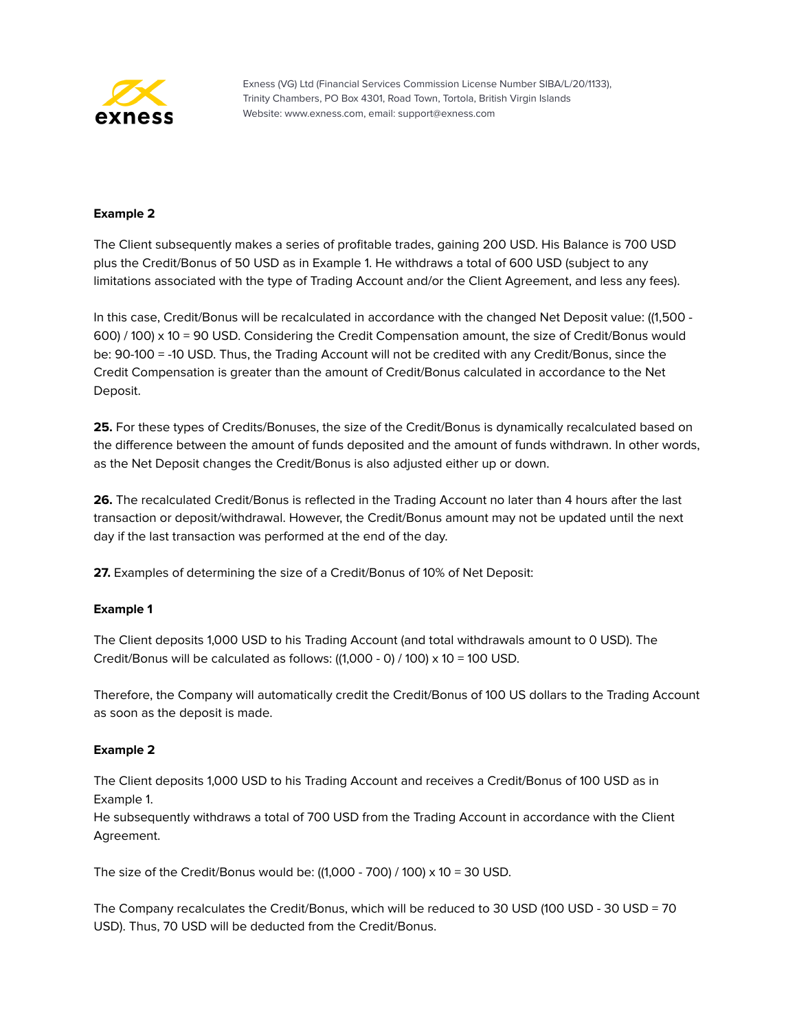

#### **Example 2**

The Client subsequently makes a series of profitable trades, gaining 200 USD. His Balance is 700 USD plus the Credit/Bonus of 50 USD as in Example 1. He withdraws a total of 600 USD (subject to any limitations associated with the type of Trading Account and/or the Client Agreement, and less any fees).

In this case, Credit/Bonus will be recalculated in accordance with the changed Net Deposit value: ((1,500 - 600) / 100) x 10 = 90 USD. Considering the Credit Compensation amount, the size of Credit/Bonus would be: 90-100 = -10 USD. Thus, the Trading Account will not be credited with any Credit/Bonus, since the Credit Compensation is greater than the amount of Credit/Bonus calculated in accordance to the Net Deposit.

**25.** For these types of Credits/Bonuses, the size of the Credit/Bonus is dynamically recalculated based on the difference between the amount of funds deposited and the amount of funds withdrawn. In other words, as the Net Deposit changes the Credit/Bonus is also adjusted either up or down.

**26.** The recalculated Credit/Bonus is reflected in the Trading Account no later than 4 hours after the last transaction or deposit/withdrawal. However, the Credit/Bonus amount may not be updated until the next day if the last transaction was performed at the end of the day.

**27.** Examples of determining the size of a Credit/Bonus of 10% of Net Deposit:

#### **Example 1**

The Client deposits 1,000 USD to his Trading Account (and total withdrawals amount to 0 USD). The Credit/Bonus will be calculated as follows:  $((1,000 - 0) / 100) \times 10 = 100$  USD.

Therefore, the Company will automatically credit the Credit/Bonus of 100 US dollars to the Trading Account as soon as the deposit is made.

#### **Example 2**

The Client deposits 1,000 USD to his Trading Account and receives a Credit/Bonus of 100 USD as in Example 1.

He subsequently withdraws a total of 700 USD from the Trading Account in accordance with the Client Agreement.

The size of the Credit/Bonus would be:  $((1,000 - 700) / 100) \times 10 = 30 \text{ USD}$ .

The Company recalculates the Credit/Bonus, which will be reduced to 30 USD (100 USD - 30 USD = 70 USD). Thus, 70 USD will be deducted from the Credit/Bonus.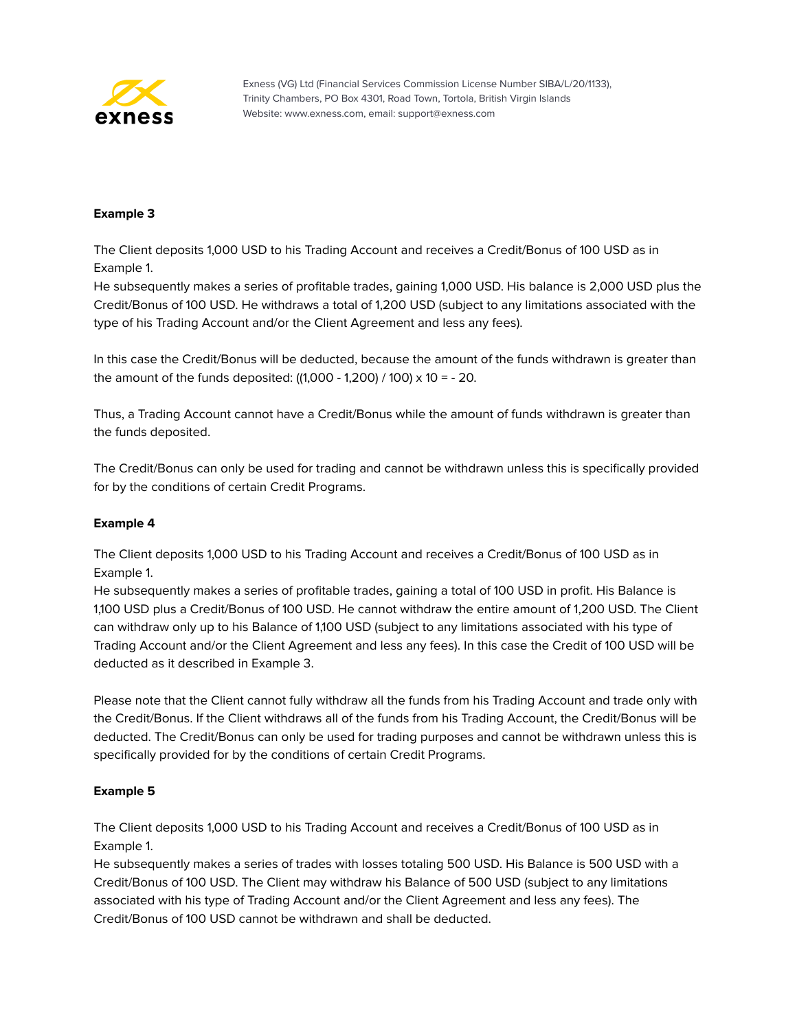

#### **Example 3**

The Client deposits 1,000 USD to his Trading Account and receives a Credit/Bonus of 100 USD as in Example 1.

He subsequently makes a series of profitable trades, gaining 1,000 USD. His balance is 2,000 USD plus the Credit/Bonus of 100 USD. He withdraws a total of 1,200 USD (subject to any limitations associated with the type of his Trading Account and/or the Client Agreement and less any fees).

In this case the Credit/Bonus will be deducted, because the amount of the funds withdrawn is greater than the amount of the funds deposited:  $((1,000 - 1,200) / 100) \times 10 = -20$ .

Thus, a Trading Account cannot have a Credit/Bonus while the amount of funds withdrawn is greater than the funds deposited.

The Credit/Bonus can only be used for trading and cannot be withdrawn unless this is specifically provided for by the conditions of certain Credit Programs.

#### **Example 4**

The Client deposits 1,000 USD to his Trading Account and receives a Credit/Bonus of 100 USD as in Example 1.

He subsequently makes a series of profitable trades, gaining a total of 100 USD in profit. His Balance is 1,100 USD plus a Credit/Bonus of 100 USD. He cannot withdraw the entire amount of 1,200 USD. The Client can withdraw only up to his Balance of 1,100 USD (subject to any limitations associated with his type of Trading Account and/or the Client Agreement and less any fees). In this case the Credit of 100 USD will be deducted as it described in Example 3.

Please note that the Client cannot fully withdraw all the funds from his Trading Account and trade only with the Credit/Bonus. If the Client withdraws all of the funds from his Trading Account, the Credit/Bonus will be deducted. The Credit/Bonus can only be used for trading purposes and cannot be withdrawn unless this is specifically provided for by the conditions of certain Credit Programs.

#### **Example 5**

The Client deposits 1,000 USD to his Trading Account and receives a Credit/Bonus of 100 USD as in Example 1.

He subsequently makes a series of trades with losses totaling 500 USD. His Balance is 500 USD with a Credit/Bonus of 100 USD. The Client may withdraw his Balance of 500 USD (subject to any limitations associated with his type of Trading Account and/or the Client Agreement and less any fees). The Credit/Bonus of 100 USD cannot be withdrawn and shall be deducted.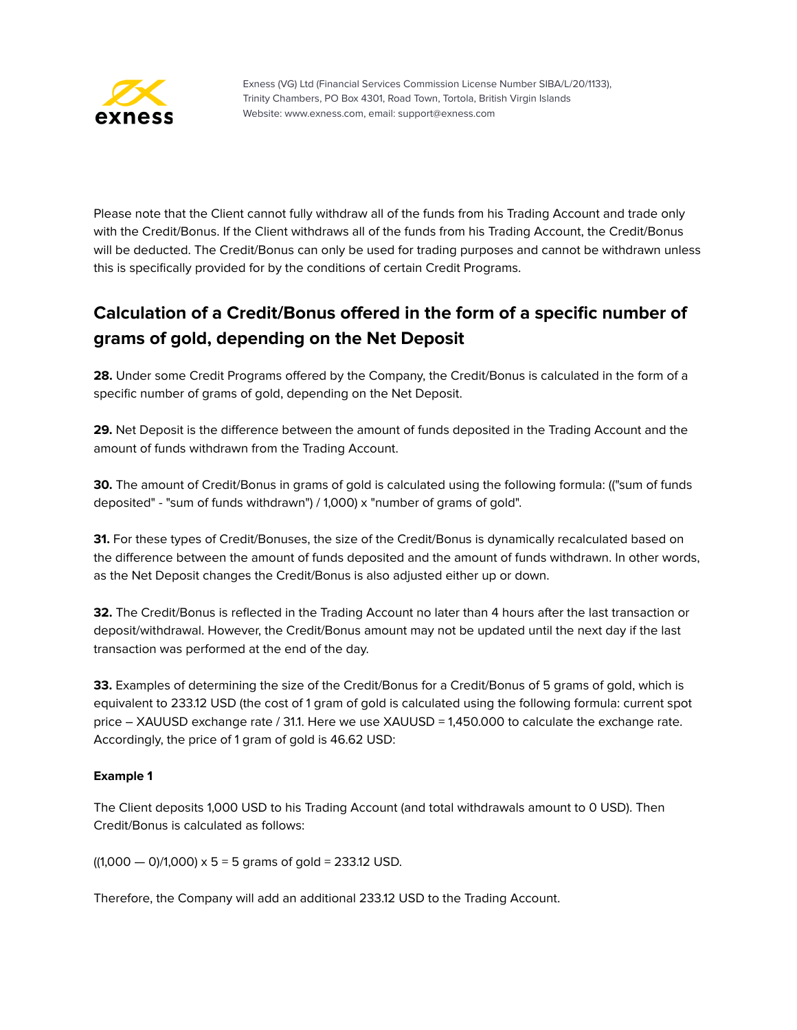

Please note that the Client cannot fully withdraw all of the funds from his Trading Account and trade only with the Credit/Bonus. If the Client withdraws all of the funds from his Trading Account, the Credit/Bonus will be deducted. The Credit/Bonus can only be used for trading purposes and cannot be withdrawn unless this is specifically provided for by the conditions of certain Credit Programs.

# **Calculation of a Credit/Bonus offered in the form of a specific number of grams of gold, depending on the Net Deposit**

**28.** Under some Credit Programs offered by the Company, the Credit/Bonus is calculated in the form of a specific number of grams of gold, depending on the Net Deposit.

**29.** Net Deposit is the difference between the amount of funds deposited in the Trading Account and the amount of funds withdrawn from the Trading Account.

**30.** The amount of Credit/Bonus in grams of gold is calculated using the following formula: (("sum of funds deposited" - "sum of funds withdrawn") / 1,000) х "number of grams of gold".

**31.** For these types of Credit/Bonuses, the size of the Credit/Bonus is dynamically recalculated based on the difference between the amount of funds deposited and the amount of funds withdrawn. In other words, as the Net Deposit changes the Credit/Bonus is also adjusted either up or down.

**32.** The Credit/Bonus is reflected in the Trading Account no later than 4 hours after the last transaction or deposit/withdrawal. However, the Credit/Bonus amount may not be updated until the next day if the last transaction was performed at the end of the day.

**33.** Examples of determining the size of the Credit/Bonus for a Credit/Bonus of 5 grams of gold, which is equivalent to 233.12 USD (the cost of 1 gram of gold is calculated using the following formula: current spot price – XAUUSD exchange rate / 31.1. Here we use XAUUSD = 1,450.000 to calculate the exchange rate. Accordingly, the price of 1 gram of gold is 46.62 USD:

#### **Example 1**

The Client deposits 1,000 USD to his Trading Account (and total withdrawals amount to 0 USD). Then Credit/Bonus is calculated as follows:

 $((1,000 - 0)/1,000) \times 5 = 5$  grams of gold = 233.12 USD.

Therefore, the Company will add an additional 233.12 USD to the Trading Account.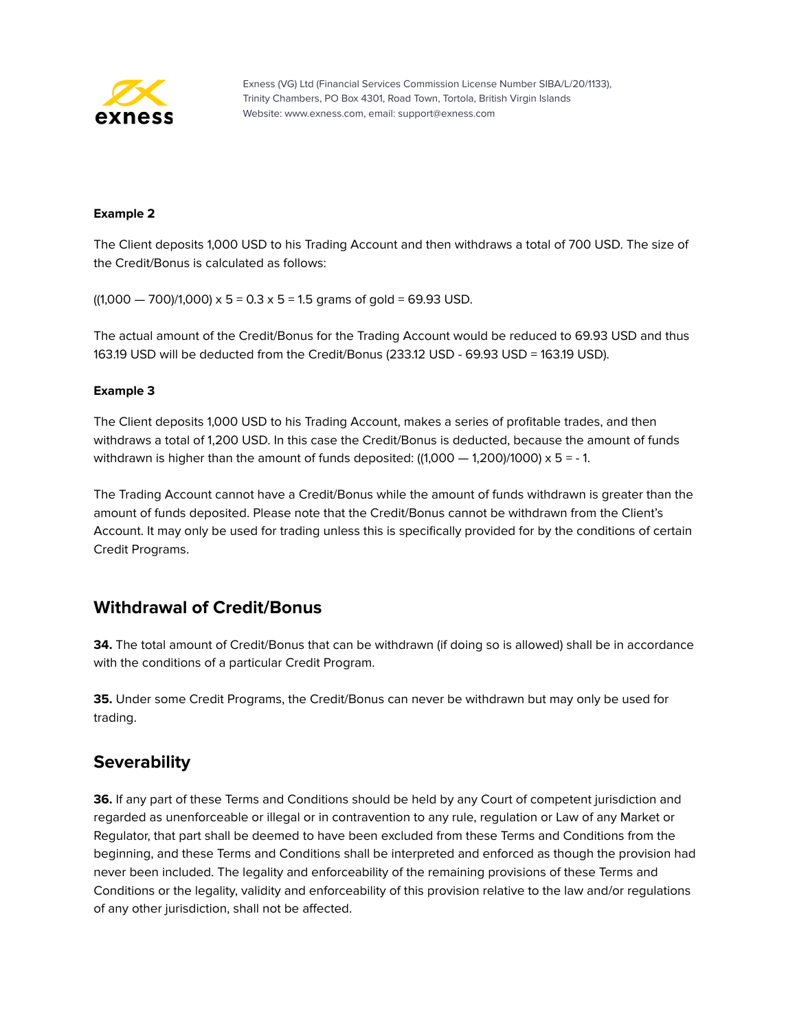

#### **Example 2**

The Client deposits 1,000 USD to his Trading Account and then withdraws a total of 700 USD. The size of the Credit/Bonus is calculated as follows:

 $((1,000 - 700)/1,000) \times 5 = 0.3 \times 5 = 1.5$  grams of gold = 69.93 USD.

The actual amount of the Credit/Bonus for the Trading Account would be reduced to 69.93 USD and thus 163.19 USD will be deducted from the Credit/Bonus (233.12 USD - 69.93 USD = 163.19 USD).

#### **Example 3**

The Client deposits 1,000 USD to his Trading Account, makes a series of profitable trades, and then withdraws a total of 1,200 USD. In this case the Credit/Bonus is deducted, because the amount of funds withdrawn is higher than the amount of funds deposited:  $((1,000 - 1,200)/1000) \times 5 = -1$ .

The Trading Account cannot have a Credit/Bonus while the amount of funds withdrawn is greater than the amount of funds deposited. Please note that the Credit/Bonus cannot be withdrawn from the Client's Account. It may only be used for trading unless this is specifically provided for by the conditions of certain Credit Programs.

## **Withdrawal of Credit/Bonus**

**34.** The total amount of Credit/Bonus that can be withdrawn (if doing so is allowed) shall be in accordance with the conditions of a particular Credit Program.

**35.** Under some Credit Programs, the Credit/Bonus can never be withdrawn but may only be used for trading.

## **Severability**

**36.** If any part of these Terms and Conditions should be held by any Court of competent jurisdiction and regarded as unenforceable or illegal or in contravention to any rule, regulation or Law of any Market or Regulator, that part shall be deemed to have been excluded from these Terms and Conditions from the beginning, and these Terms and Conditions shall be interpreted and enforced as though the provision had never been included. The legality and enforceability of the remaining provisions of these Terms and Conditions or the legality, validity and enforceability of this provision relative to the law and/or regulations of any other jurisdiction, shall not be affected.